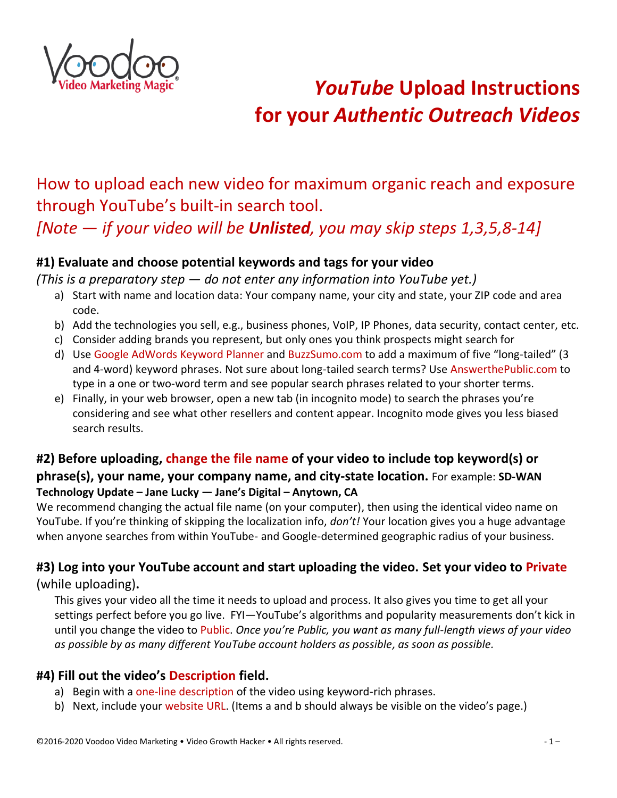

# *YouTube* **Upload Instructions for your** *Authentic Outreach Videos*

# How to upload each new video for maximum organic reach and exposure through YouTube's built-in search tool.

*[Note — if your video will be Unlisted, you may skip steps 1,3,5,8-14]*

# **#1) Evaluate and choose potential keywords and tags for your video**

*(This is a preparatory step — do not enter any information into YouTube yet.)*

- a) Start with name and location data: Your company name, your city and state, your ZIP code and area code.
- b) Add the technologies you sell, e.g., business phones, VoIP, IP Phones, data security, contact center, etc.
- c) Consider adding brands you represent, but only ones you think prospects might search for
- d) Use Google AdWords Keyword Planner and BuzzSumo.com to add a maximum of five "long-tailed" (3 and 4-word) keyword phrases. Not sure about long-tailed search terms? Use AnswerthePublic.com to type in a one or two-word term and see popular search phrases related to your shorter terms.
- e) Finally, in your web browser, open a new tab (in incognito mode) to search the phrases you're considering and see what other resellers and content appear. Incognito mode gives you less biased search results.

# **#2) Before uploading, change the file name of your video to include top keyword(s) or phrase(s), your name, your company name, and city-state location.** For example: **SD-WAN Technology Update – Jane Lucky — Jane's Digital – Anytown, CA**

We recommend changing the actual file name (on your computer), then using the identical video name on YouTube. If you're thinking of skipping the localization info, *don't!* Your location gives you a huge advantage when anyone searches from within YouTube- and Google-determined geographic radius of your business.

# **#3) Log into your YouTube account and start uploading the video. Set your video to Private** (while uploading)**.**

This gives your video all the time it needs to upload and process. It also gives you time to get all your settings perfect before you go live. FYI—YouTube's algorithms and popularity measurements don't kick in until you change the video to Public. *Once you're Public, you want as many full-length views of your video as possible by as many different YouTube account holders as possible, as soon as possible.*

# **#4) Fill out the video's Description field.**

- a) Begin with a one-line description of the video using keyword-rich phrases.
- b) Next, include your website URL. (Items a and b should always be visible on the video's page.)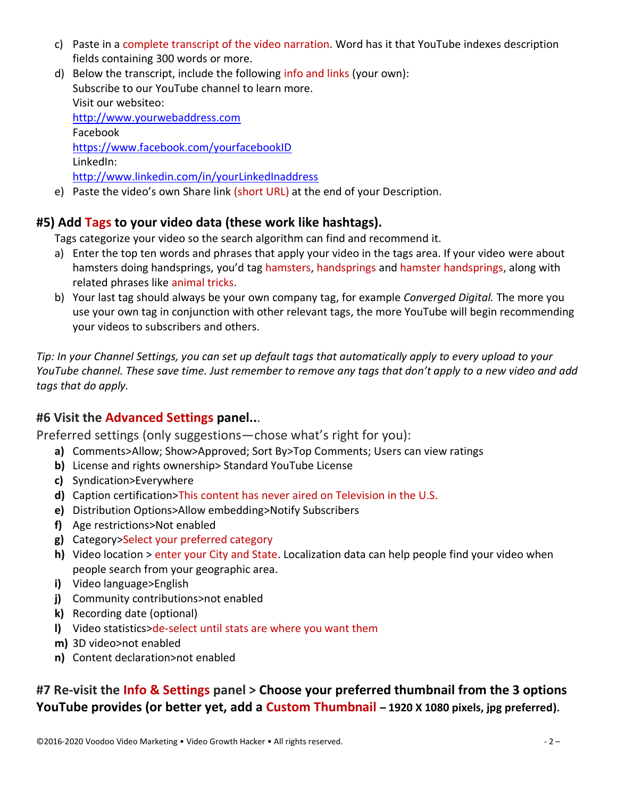- c) Paste in a complete transcript of the video narration. Word has it that YouTube indexes description fields containing 300 words or more.
- d) Below the transcript, include the following info and links (your own): Subscribe to our YouTube channel to learn more. Visit our websiteo: [http://www.yourwebaddress.com](http://www.yourwebaddress.com/) Facebook https://www.facebook.com/yourfacebookID LinkedIn: [http://www.linkedin.com/in/yourLinkedInaddress](http://www.linkedin.com/in/videogrowthhacker)
- e) Paste the video's own Share link (short URL) at the end of your Description.

#### **#5) Add Tags to your video data (these work like hashtags).**

Tags categorize your video so the search algorithm can find and recommend it.

- a) Enter the top ten words and phrases that apply your video in the tags area. If your video were about hamsters doing handsprings, you'd tag hamsters, handsprings and hamster handsprings, along with related phrases like animal tricks.
- b) Your last tag should always be your own company tag, for example *Converged Digital.* The more you use your own tag in conjunction with other relevant tags, the more YouTube will begin recommending your videos to subscribers and others.

*Tip: In your Channel Settings, you can set up default tags that automatically apply to every upload to your YouTube channel. These save time. Just remember to remove any tags that don't apply to a new video and add tags that do apply.*

#### **#6 Visit the Advanced Settings panel..**.

Preferred settings (only suggestions—chose what's right for you):

- **a)** Comments>Allow; Show>Approved; Sort By>Top Comments; Users can view ratings
- **b)** License and rights ownership> Standard YouTube License
- **c)** Syndication>Everywhere
- **d)** Caption certification>This content has never aired on Television in the U.S.
- **e)** Distribution Options>Allow embedding>Notify Subscribers
- **f)** Age restrictions>Not enabled
- **g)** Category>Select your preferred category
- **h)** Video location > enter your City and State. Localization data can help people find your video when people search from your geographic area.
- **i)** Video language>English
- **j)** Community contributions>not enabled
- **k)** Recording date (optional)
- **l)** Video statistics>de-select until stats are where you want them
- **m)** 3D video>not enabled
- **n)** Content declaration>not enabled

**#7 Re-visit the Info & Settings panel > Choose your preferred thumbnail from the 3 options YouTube provides (or better yet, add a Custom Thumbnail – 1920 X 1080 pixels, jpg preferred).**